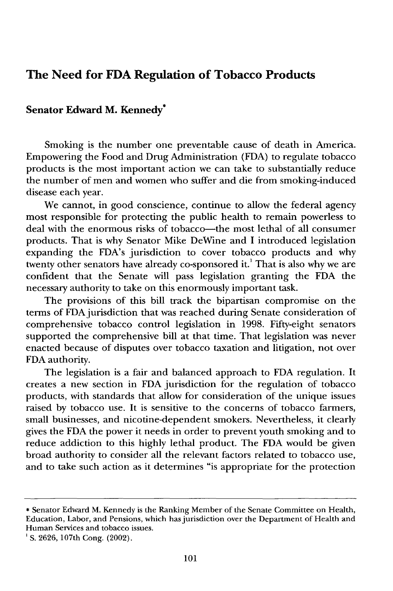## **The Need for FDA Regulation of Tobacco Products**

## **Senator Edward M. Kennedy\***

Smoking is the number one preventable cause of death in America. Empowering the Food and Drug Administration **(FDA)** to regulate tobacco products is the most important action we can take to substantially reduce the number of men and women who suffer and die from smoking-induced disease each year.

We cannot, in good conscience, continue to allow the federal agency most responsible for protecting the public health to remain powerless to deal with the enormous risks of tobacco-the most lethal of all consumer products. That is why Senator Mike DeWine and I introduced legislation expanding the FDA's jurisdiction to cover tobacco products and why twenty other senators have already co-sponsored it.<sup>1</sup> That is also why we are confident that the Senate will pass legislation granting the FDA the necessary authority to take on this enormously important task.

The provisions of this bill track the bipartisan compromise on the terms of FDA jurisdiction that was reached during Senate consideration of comprehensive tobacco control legislation in 1998. Fifty-eight senators supported the comprehensive bill at that time. That legislation was never enacted because of disputes over tobacco taxation and litigation, not over FDA authority.

The legislation is a fair and balanced approach to **FDA** regulation. It creates a new section in **FDA** jurisdiction for the regulation of tobacco products, with standards that allow for consideration of the unique issues raised **by** tobacco use. It is sensitive to the concerns of tobacco farmers, small businesses, and nicotine-dependent smokers. Nevertheless, it clearly gives the **FDA** the power it needs in order to prevent youth smoking and to reduce addiction to this **highly** lethal product. The **FDA** would be given broad authority to consider all the relevant factors related to tobacco use, and to take such action as it determines "is appropriate for the protection

<sup>\*</sup> Senator Edward M. Kennedy is the Ranking Member of the Senate Committee on Health, Education, Labor, and Pensions, which has jurisdiction over the Department of Health and Human Services and tobacco issues.

**<sup>&#</sup>x27;S.** 2626, 107th Cong. (2002).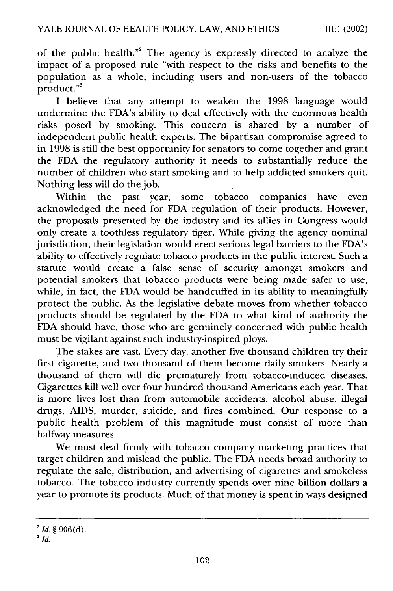of the public health."<sup>2</sup> The agency is expressly directed to analyze the impact of a proposed rule "with respect to the risks and benefits to the population as a whole, including users and non-users of the tobacco  $\operatorname{product.}$ "

I believe that any attempt to weaken the 1998 language would undermine the FDA's ability to deal effectively with the enormous health risks posed by smoking. This concern is shared by a number of independent public health experts. The bipartisan compromise agreed to in 1998 is still the best opportunity for senators to come together and grant the FDA the regulatory authority it needs to substantially reduce the number of children who start smoking and to help addicted smokers quit. Nothing less will do the job.

Within the past year, some tobacco companies have even acknowledged the need for FDA regulation of their products. However, the proposals presented by the industry and its allies in Congress would only create a toothless regulatory tiger. While giving the agency nominal jurisdiction, their legislation would erect serious legal barriers to the FDA's ability to effectively regulate tobacco products in the public interest. Such a statute would create a false sense of security amongst smokers and potential smokers that tobacco products were being made safer to use, while, in fact, the FDA would be handcuffed in its ability to meaningfully protect the public. As the legislative debate moves from whether tobacco products should be regulated by the FDA to what kind of authority the FDA should have, those who are genuinely concerned with public health must be vigilant against such industry-inspired ploys.

The stakes are vast. Every day, another five thousand children try their first cigarette, and two thousand of them become daily smokers. Nearly a thousand of them will die prematurely from tobacco-induced diseases. Cigarettes kill well over four hundred thousand Americans each year. That is more lives lost than from automobile accidents, alcohol abuse, illegal drugs, AIDS, murder, suicide, and fires combined. Our response to a public health problem of this magnitude must consist of more than halfway measures.

We must deal firmly with tobacco company marketing practices that target children and mislead the public. The FDA needs broad authority to regulate the sale, distribution, and advertising of cigarettes and smokeless tobacco. The tobacco industry currently spends over nine billion dollars a year to promote its products. Much of that money is spent in ways designed

*<sup>2</sup> Id.* § 906(d).

**<sup>3</sup>** *Id.*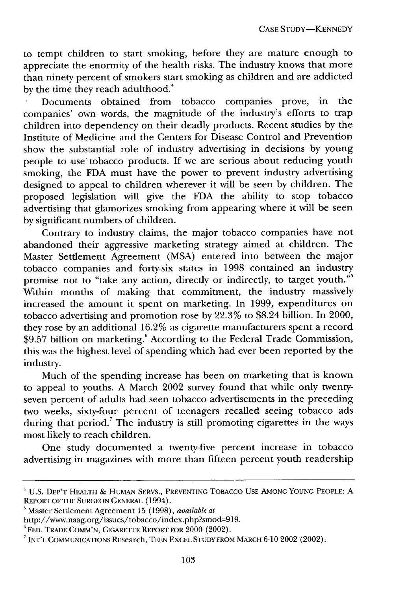to tempt children to start smoking, before they are mature enough to appreciate the enormity of the health risks. The industry knows that more than ninety percent of smokers start smoking as children and are addicted by the time they reach adulthood.<sup>4</sup>

Documents obtained from tobacco companies prove, in the companies' own words, the magnitude of the industry's efforts to trap children into dependency on their deadly products. Recent studies by the Institute of Medicine and the Centers for Disease Control and Prevention show the substantial role of industry advertising in decisions by young people to use tobacco products. If we are serious about reducing youth smoking, the FDA must have the power to prevent industry advertising designed to appeal to children wherever it will be seen by children. The proposed legislation will give the FDA the ability to stop tobacco advertising that glamorizes smoking from appearing where it will be seen by significant numbers of children.

Contrary to industry claims, the major tobacco companies have not abandoned their aggressive marketing strategy aimed at children. The Master Settlement Agreement (MSA) entered into between the major tobacco companies and forty-six states in 1998 contained an industry promise not to "take any action, directly or indirectly, to target youth."<sup>5</sup> Within months of making that commitment, the industry massively increased the amount it spent on marketing. In 1999, expenditures on tobacco advertising and promotion rose by 22.3% to \$8.24 billion. In 2000, they rose by an additional 16.2% as cigarette manufacturers spent a record \$9.57 billion on marketing.<sup>6</sup> According to the Federal Trade Commission, this was the highest level of spending which had ever been reported by the industry.

Much of the spending increase has been on marketing that is known to appeal to youths. A March 2002 survey found that while only twentyseven percent of adults had seen tobacco advertisements in the preceding two weeks, sixty-four percent of teenagers recalled seeing tobacco ads during that period.<sup>7</sup> The industry is still promoting cigarettes in the ways most likely to reach children.

One study documented a twenty-five percent increase in tobacco advertising in magazines with more than fifteen percent youth readership

<sup>4</sup>U.S. DEP'T HEALTH & HUMAN SERVS., PREVENTING TOBACCO USE AMONG YOUNG PEOPLE: A REPORT or THE **SURGEON GENERAL** (1994).

<sup>&#</sup>x27;Master Settlement Agreement 15 (1998), *available at*

http://www.naag.org/issues/tobacco/index.php?smod=919.

**<sup>6</sup>** FED. TRADE COMM'N, CIGARETTE REPORT FOR 2000 (2002).

**<sup>7</sup>** INT'L COMMUNICATIONS REsearch, TEEN EXCEL **STUDY** FROM **MARCH** 6-10 2002 (2002).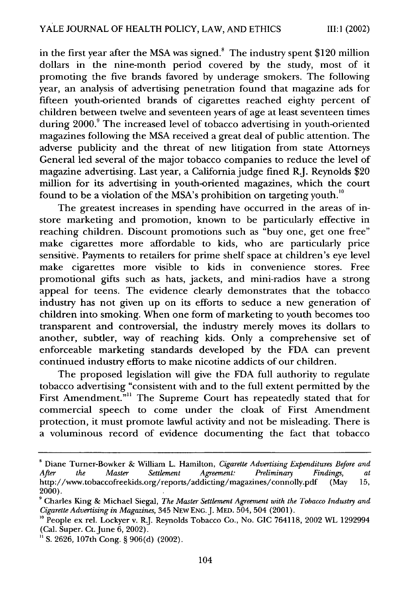in the first year after the MSA was signed.<sup>8</sup> The industry spent \$120 million dollars in the nine-month period covered by the study, most of it promoting the five brands favored by underage smokers. The following year, an analysis of advertising penetration found that magazine ads for fifteen youth-oriented brands of cigarettes reached eighty percent of children between twelve and seventeen years of age at least seventeen times during 2000.<sup>9</sup> The increased level of tobacco advertising in youth-oriented magazines following the MSA received a great deal of public attention. The adverse publicity and the threat of new litigation from state Attorneys General led several of the major tobacco companies to reduce the level of magazine advertising. Last year, a California judge fined R.J. Reynolds \$20 million for its advertising in youth-oriented magazines, which the court found to be a violation of the MSA's prohibition on targeting youth.<sup>10</sup>

The greatest increases in spending have occurred in the areas of instore marketing and promotion, known to be particularly effective in reaching children. Discount promotions such as "buy one, get one free" make cigarettes more affordable to kids, who are particularly price sensitive. Payments to retailers for prime shelf space at children's eye level make cigarettes more visible to kids in convenience stores. Free promotional gifts such as hats, jackets, and mini-radios have a strong appeal for teens. The evidence clearly demonstrates that the tobacco industry has not given up on its efforts to seduce a new generation of children into smoking. When one form of marketing to youth becomes too transparent and controversial, the industry merely moves its dollars to another, subtler, way of reaching kids. Only a comprehensive set of enforceable marketing standards developed by the FDA can prevent continued industry efforts to make nicotine addicts of our children.

The proposed legislation will give the FDA full authority to regulate tobacco advertising "consistent with and to the full extent permitted by the First Amendment."<sup>11</sup> The Supreme Court has repeatedly stated that for commercial speech to come under the cloak of First Amendment protection, it must promote lawful activity and not be misleading. There is a voluminous record of evidence documenting the fact that tobacco

**<sup>&#</sup>x27;** Diane Turner-Bowker & William L. Hamilton, *Cigarette Advertising Expenditures Before and After the Master Settlement Agreement: Preliminary Findings, at* http://www.tobaccofreekids.org/reports/addicting/magazines/connolly.pdf (May 15, 2000).

**<sup>9</sup>** Charles King & Michael Siegal, *The Master Settlement Agreement with the Tobacco Industry and Cigarette Advertising in Magazines,* 345 NEw ENG. J. MED. 504, 504 (2001).

**<sup>&#</sup>x27;0** People ex rel. Lockyer v. R.J. Reynolds Tobacco Co., No. GIC 764118, 2002 WL 1292994 (Cal. Super. Ct. June 6, 2002).

**<sup>&</sup>quot;** S. 2626, 107th Cong. § 906(d) (2002).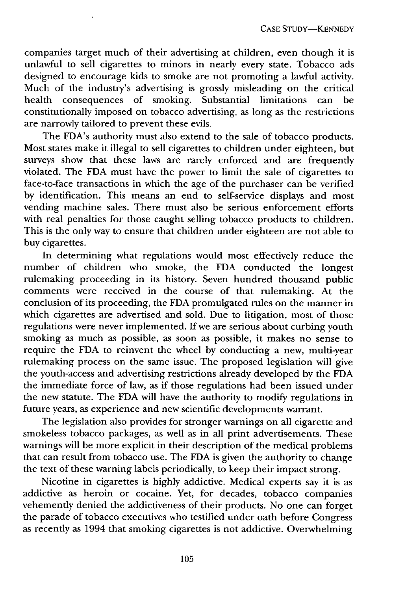companies target much of their advertising at children, even though it is unlawful to sell cigarettes to minors in nearly every state. Tobacco ads designed to encourage kids to smoke are not promoting a lawful activity. Much of the industry's advertising is grossly misleading on the critical health consequences of smoking. Substantial limitations can be constitutionally imposed on tobacco advertising, as long as the restrictions are narrowly tailored to prevent these evils.

The FDA's authority must also extend to the sale of tobacco products. Most states make it illegal to sell cigarettes to children under eighteen, but surveys show that these laws are rarely enforced and are frequently violated. The FDA must have the power to limit the sale of cigarettes to face-to-face transactions in which the age of the purchaser can be verified by identification. This means an end to self-service displays and most vending machine sales. There must also be serious enforcement efforts with real penalties for those caught selling tobacco products to children. This is the only way to ensure that children under eighteen are not able to buy cigarettes.

In determining what regulations would most effectively reduce the number of children who smoke, the FDA conducted the longest rulemaking proceeding in its history. Seven hundred thousand public comments were received in the course of that rulemaking. At the conclusion of its proceeding, the FDA promulgated rules on the manner in which cigarettes are advertised and sold. Due to litigation, most of those regulations were never implemented. If we are serious about curbing youth smoking as much as possible, as soon as possible, it makes no sense to require the FDA to reinvent the wheel by conducting a new, multi-year rulemaking process on the same issue. The proposed legislation will give the youth-access and advertising restrictions already developed by the FDA the immediate force of law, as if those regulations had been issued under the new statute. The FDA will have the authority to modify regulations in future years, as experience and new scientific developments warrant.

The legislation also provides for stronger warnings on all cigarette and smokeless tobacco packages, as well as in all print advertisements. These warnings will be more explicit in their description of the medical problems that can result from tobacco use. The FDA is given the authority to change the text of these warning labels periodically, to keep their impact strong.

Nicotine in cigarettes is highly addictive. Medical experts say it is as addictive as heroin or cocaine. Yet, for decades, tobacco companies vehemently denied the addictiveness of their products. No one can forget the parade of tobacco executives who testified under oath before Congress as recently as 1994 that smoking cigarettes is not addictive. Overwhelming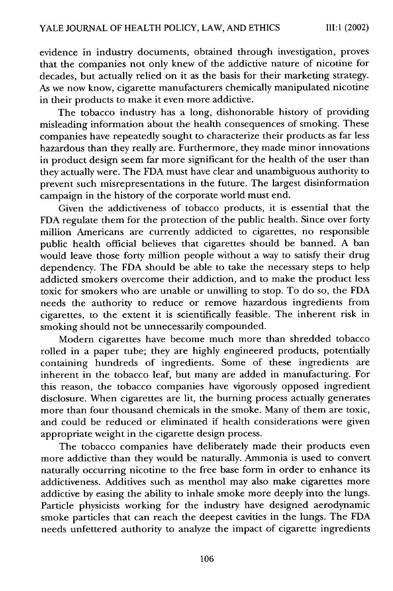evidence in industry documents, obtained through investigation, proves that the companies not only knew of the addictive nature of nicotine for decades, but actually relied on it as the basis for their marketing strategy. As we now know, cigarette manufacturers chemically manipulated nicotine in their products to make it even more addictive.

The tobacco industry has a long, dishonorable history of providing misleading information about the health consequences of smoking. These companies have repeatedly sought to characterize their products as far less hazardous than they really are. Furthermore, they made minor innovations in product design seem far more significant for the health of the user than they actually were. The FDA must have clear and unambiguous authority to prevent such misrepresentations in the future. The largest disinformation campaign in the history of the corporate world must end.

Given the addictiveness of tobacco products, it is essential that the FDA regulate them for the protection of the public health. Since over forty million Americans are currently addicted to cigarettes, no responsible public health official believes that cigarettes should be banned. A ban would leave those forty million people without a way to satisfy their drug dependency. The FDA should be able to take the necessary steps to help addicted smokers overcome their addiction, and to make the product less toxic for smokers who are unable or unwilling to stop. To do so, the FDA needs the authority to reduce or remove hazardous ingredients from cigarettes, to the extent it is scientifically feasible. The inherent risk in smoking should not be unnecessarily compounded.

Modern cigarettes have become much more than shredded tobacco rolled in a paper tube; they are highly engineered products, potentially containing hundreds of ingredients. Some of these ingredients are inherent in the tobacco leaf, but many are added in manufacturing. For this reason, the tobacco companies have vigorously opposed ingredient disclosure. When cigarettes are lit, the burning process actually generates more than four thousand chemicals in the smoke. Many of them are toxic, and could be reduced or eliminated if health considerations were given appropriate weight in the cigarette design process.

The tobacco companies have deliberately made their products even more addictive than they would be naturally. Ammonia is used to convert naturally occurring nicotine to the free base form in order to enhance its addictiveness. Additives such as menthol may also make cigarettes more addictive by easing the ability to inhale smoke more deeply into the lungs. Particle physicists working for the industry have designed aerodynamic smoke particles that can reach the deepest cavities in the lungs. The FDA needs unfettered authority to analyze the impact of cigarette ingredients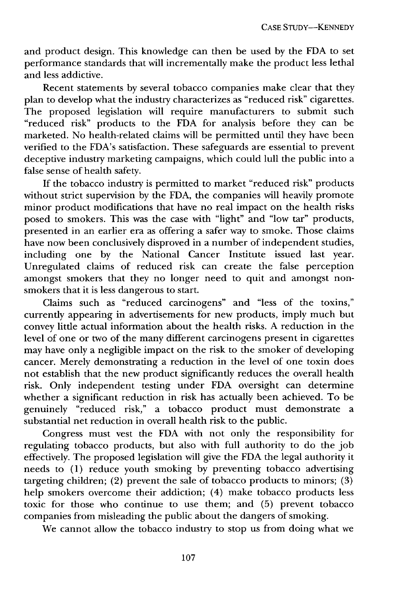and product design. This knowledge can then be used by the FDA to set performance standards that will incrementally make the product less lethal and less addictive.

Recent statements by several tobacco companies make clear that they plan to develop what the industry characterizes as "reduced risk" cigarettes. The proposed legislation will require manufacturers to submit such "reduced risk" products to the FDA for analysis before they can be marketed. No health-related claims will be permitted until they have been verified to the FDA's satisfaction. These safeguards are essential to prevent deceptive industry marketing campaigns, which could lull the public into a false sense of health safety.

If the tobacco industry is permitted to market "reduced risk" products without strict supervision by the FDA, the companies will heavily promote minor product modifications that have no real impact on the health risks posed to smokers. This was the case with "light" and "low tar" products, presented in an earlier era as offering a safer way to smoke. Those claims have now been conclusively disproved in a number of independent studies, including one by the National Cancer Institute issued last year. Unregulated claims of reduced risk can create the false perception amongst smokers that they no longer need to quit and amongst nonsmokers that it is less dangerous to start.

Claims such as "reduced carcinogens" and "less of the toxins," currently appearing in advertisements for new products, imply much but convey little actual information about the health risks. A reduction in the level of one or two of the many different carcinogens present in cigarettes may have only a negligible impact on the risk to the smoker of developing cancer. Merely demonstrating a reduction in the level of one toxin does not establish that the new product significantly reduces the overall health risk. Only independent testing under FDA oversight can determine whether a significant reduction in risk has actually been achieved. To be genuinely "reduced risk," a tobacco product must demonstrate a substantial net reduction in overall health risk to the public.

Congress must vest the FDA with not only the responsibility for regulating tobacco products, but also with full authority to do the job effectively. The proposed legislation will give the FDA the legal authority it needs to (1) reduce youth smoking by preventing tobacco advertising targeting children; (2) prevent the sale of tobacco products to minors;  $(3)$ help smokers overcome their addiction; (4) make tobacco products less toxic for those who continue to use them; and (5) prevent tobacco companies from misleading the public about the dangers of smoking.

We cannot allow the tobacco industry to stop us from doing what we